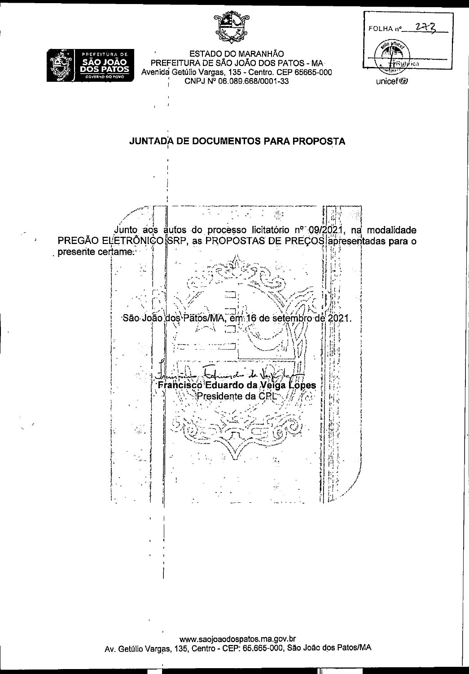ESTADO DO MARANHÃO PREFEITURA DE SÃO JOÃO DOS PATOS - MA-Avenida Getúlio Vargas, 135 - Centro. CEP 65665-000 CNPJ Nº 06.089.668/0001-33

| FOLHA nº_               |
|-------------------------|
| $m_{c_c}$<br>٩D.<br>-97 |
| ica                     |
|                         |

unicef@

JUNTADA DE DOCUMENTOS PARA PROPOSTA

 $\frac{1}{\sigma}$  $\mathcal{O}(\mathbb{R}^d)$ 戀 j. Junto aos autos do processo licitatório nº 09/2021, na modalidade PREGÃO ELETRÔNICO SRP, as PROPOSTAS DE PREÇOS apresentadas para o presente certame.

São João dos Patos/MA, em 2021. ⊧16 de setembro de Б o Eduardo da V opes elga l Presidente da CR

www.saojoaodospatos.ma.gov.br Av. Getúlio Vargas, 135, Centro - CEP: 65.665-000, São João dos Patos/MA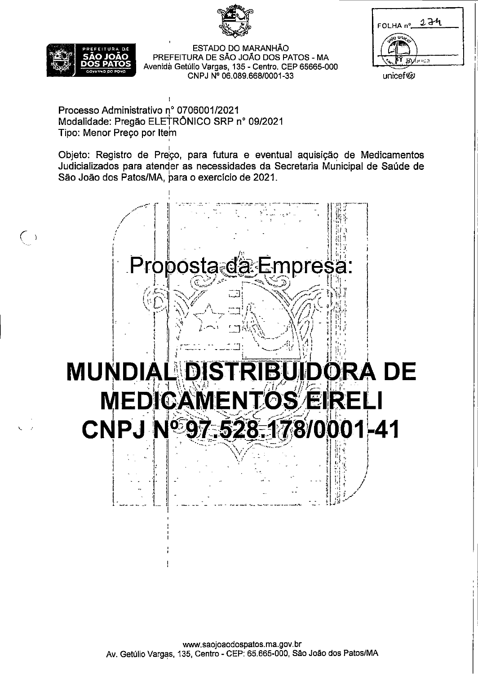



unicef (g)

 $\left(\begin{array}{c}\right)$ 

ESTADO DO MARANHÃO PREFEITURA DE SÃO JOÃO DOS PATOS - MA Avenida Getúlio Vargas, 135 - Centro. CEP 65665-000 CNPJ Nº 06.089.668/0001-33

Processo Administrativo nº 0706001/2021 Modalidade: Pregão ELETRÔNICO SRP nº 09/2021 Tipo: Menor Preço por Item

Objeto: Registro de Preço, para futura e eventual aquisição de Medicamentos Judicializados para atender as necessidades da Secretaria Municipal de Saúde de São João dos Patos/MA, para o exercício de 2021.



www.saojoaodospatos.ma.gov.br Av. Getúlio Vargas, 135, Centro - CEP: 65.665-000, São João dos Patos/MA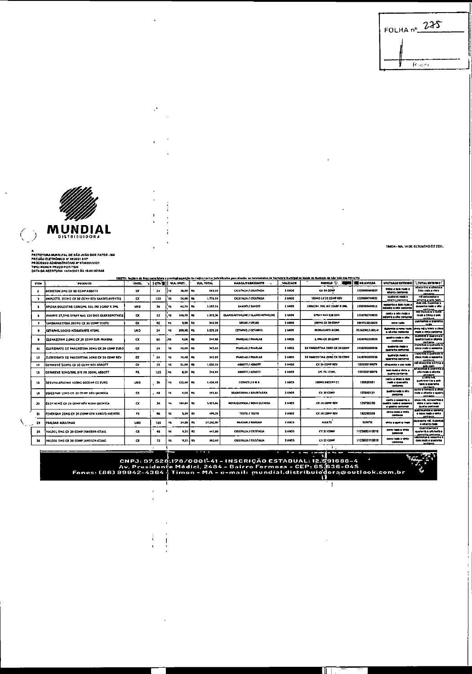| FOLHA nº 275 |
|--------------|
|              |
| Rom          |

TIMON - MA, 14 DE SETEMBRO DE 2021.

電腦 閂

 $\mathbf{r}$ 

 $\mathbf{I}$ 

 $\bar{z}$ 

Ш



 $\mathcal{S}$  $\ddot{\phantom{0}}$ 

 $\begin{array}{c} \begin{array}{c} \begin{array}{c} \end{array} \\ \begin{array}{c} \end{array} \end{array} \end{array}$ 

 $\frac{1}{4}$  $\ddot{\phantom{1}}$ 

 $\overline{1}$  $\overline{1}$ 

 $\ddot{\phantom{a}}$ 

 $\begin{array}{c} \hline \end{array}$ 

 $\ddot{\phantom{0}}$ 

## A<br>PREFEITURA MUNICIPAL DE SÃO JOÃO DOS PATOS - MA<br>PREGÃO ELETRÓNICO Nº 09/2021 SRP<br>PROCESSO ADMINISTRATIVO AP 07/40/51/2021<br>TPO: MENOR PREGO POR ITEM<br>DATA DA ABERTURA: 14/09/2021 ÀS 15:00 HORAS<br>DATA DA ABERTURA: 14/09/2021

 $\left(\begin{smallmatrix} \cdot & \cdot \\ \cdot & \cdot \end{smallmatrix}\right)$ 

 $\mathcal{N}_{\mathcal{L}}$ 

| OBIETO: Registro de Praço para futura e eventual aquisição de medicamentos judicializados para atender as necesidades da Secretaria Município de Saúde do Município da São João dos Petros/VA |                                                |            |               |                 |                      |                                         |          |                                      |                      |                                                                    |                                                                            |
|-----------------------------------------------------------------------------------------------------------------------------------------------------------------------------------------------|------------------------------------------------|------------|---------------|-----------------|----------------------|-----------------------------------------|----------|--------------------------------------|----------------------|--------------------------------------------------------------------|----------------------------------------------------------------------------|
| TTD.                                                                                                                                                                                          | <b>PRODUTO</b>                                 | UNID.      | ा शाल्य हो ।। | VLL UNIT.       | <b>YLR, TOTAL</b>    | <b>NARCA/PARRICANTE</b>                 | VALIDADE | NODELO                               | <b>THE RG ANNISA</b> | UNITARIO EXTENSO   TATOTAL EXTENSO :                               |                                                                            |
| 2                                                                                                                                                                                             | AKINETON 2MG CX 80 COMP ABBOTT                 | $\sim$     | 24            | 35,30 RS<br>R\$ | 603,20               | CAS TALLA / CASTALLA                    | 3 ANOS   | CX 80 COMP                           | 1029000960037        | trinto a sulla rassi o<br>otenta centevos                          | olto antos e citenta e<br>três ragis a vinta<br>cent most                  |
| х                                                                                                                                                                                             | AMPLICTIL 100MG CX 20 COMP REV SANDEL AVENTIS  | CX.        | 120           | R\$<br>14,30    | R\$<br>1,776,00      | <b>CRISTALIA / CRISTALIA</b>            | 2 ANOS   | 100HO CX 20 COMP REV                 | 1029004740031        | Quaterza mada e<br>otents contavos                                 | mi setecentos o<br>neterita a sell fouth                                   |
|                                                                                                                                                                                               | APIDRA SOLOSTAR LODUI/NL SOL INJ LCARP X 3ML   | <b>UND</b> | 36            | 13<br>62,78     | as.<br>2.160.04      | SANDR / SANDR                           | 2 ANDS   | <b>I DOUT/MI SOLINJ TCARP X JIHL</b> | 113210343001         | asseria e dota rusta<br>estasta a ofto cuntavos                    | dos no, duzentos e<br>mamma mais e oko<br>ment annou                       |
|                                                                                                                                                                                               | AVANYS 27.5MG SPRAY NAS 120 DOS GLAXOSMITHICLE | $\alpha$   | 12.           | 100,70<br>R\$   | 1.305.30<br>13       | CLAYOS MITH ILLINE / GLAZOS MITH XLI ME | 2405     | <b>SPRAY NAS 120 DDS</b>             | 1010702710035        | canto a ofte realm<br>estanta a cito contavua                      | mil trazantos e cinco<br>rease a trivia e seis<br>centavos.                |
| ,                                                                                                                                                                                             | CARBANAZEPINA 200MG CX 30 COMP TEUTO           | $\alpha$   | 60            | 1,00<br>R\$     | R\$<br>140.00        | <b>UEDIO / URDAO</b>                    | 2 ABOS   | 2001G CF 30 COMP                     | 1041713010020        | والعرد ومحدة                                                       | menhentos e querente<br>m ah                                               |
|                                                                                                                                                                                               | ICETAPHIL LOCAD HIDRATANTE 473ML               | <b>UND</b> | 24.           | 209.00<br>45    | 5.035.20<br>R\$      | <b>CETAPHIL / CETAPHIL</b>              | 2 AL DS  | <b>MORATA ITE 473ML</b>              | 222620013.001-0      | ducentos a nova regia<br>a citenta cuntavos                        | cinco mil e trinta a cinca<br>resh e vini a centeros                       |
|                                                                                                                                                                                               | CLONAZEPAM 2,0MG CX 30 COMP SUM PHARMA         | $\alpha$   | 60            | ,RS             | 1,06 105<br>244.80   | <b>PHARLAS / PHARLAB</b>                | 2 ANDS   | <b>2.04G CL 30 CORP</b>              | 1410701210026        | quality is also at once<br><b>Curriculum</b>                       | durentos e quarenta e<br>quetro fears e oconta<br><b>CONTINUES</b>         |
| ш.                                                                                                                                                                                            | CLORIDRATO DE PAROXETINA 20XG CX 10 COMP EURO  | $\alpha$   | 24            | 14,40 RS<br>ĸ   | 345, 10              | PARTAS / PARTAS                         | 2 ANOS   | DE PAROXETINA 20MO CX 30 COMP        | 1410701030036        | ا کی معاصرہ<br>guaranta cantenal                                   | pazantos e quaranta e<br>cinco reale a perimeta<br>cantavan                |
| 12.                                                                                                                                                                                           | CLORIDRATO DE PAROXETINA 20MG CI 30 COMP REV   | œ          | 24            | 11,40<br>15     | <b>R\$</b><br>145,60 | <b>FILMIAL / FILMIAE</b>                | 2 ANOS   | DE PAROXETINA 20MG CX 30 COMP        | 1410701030036        | <b>QUESTIO FINALE</b><br>taare ta ca tawa                          | trazentos e quarenta e<br>cinco reale a sessenta<br><b>CARLSWORK</b>       |
| 14.                                                                                                                                                                                           | DEPAKENE SOOMG CX 50 COMP REV ASBOTT           | CY.        | 35            | 51,00<br>11     | 1,638,00<br>п.       | <b>ASSOTT / ASSOTT</b>                  | 2 ANDS   | CT 56 COMP REV                       | 1051303150071        | drouenta e um reals                                                | mi otocentos e trinta e<br>els reals                                       |
| 15                                                                                                                                                                                            | DEPAKENE SOMG/SML XPE FR 100ML ABBOTT          | FR.        | 120           | R\$             | 6.24 Rd<br>746,00    | <b>A3SOTT / ASSOTT</b>                  | 2 ANOS   | YPE FR 100ML                         | 1005303160070        | talk fasik a Vinto y<br><b>CARLIS CONTRACT</b>                     | selecentas e currente e<br>olto reala a oltenta<br>centaura                |
| 16                                                                                                                                                                                            | OESVENLAFAXINA 100MG 60COMP C1 EURO            | <b>UND</b> | 36            | 122,40<br>R\$   | 4,406,40<br>RS.      | <b>GERMED / E M S</b>                   | 2 ANDS   | 100HG 60COMP C1                      | 106830881            | cento a vinta e dola<br><b>Juan e quaranta</b><br><b>CERTAINSE</b> | qual ro m.C<br>quetrocentos a sele<br>reste e querente<br>med award        |
| u.                                                                                                                                                                                            | IDIAZEPAM 10MG CX 3D COMP NEO DUIMICA          | CX.        | 48.           | ۹\$<br>4,08     | 195.84<br>л.         | <b>SRAINFARRA / BRAINFARRA</b>          | 2 42 05  | CX 30 CORP                           | 105840121            | <b>GLASTO FORM &amp; CR</b><br><b>CRITICIANS</b>                   | canto e noventa a dinco<br>rcale e okenta e quatro<br>rent mas.            |
| 20                                                                                                                                                                                            | ESDP 40MG CK 25 COMP REV NOVA QUIMICA          | $\alpha$   | 36            | 104.54<br>RS.   | 5,027.04<br>R\$      | <b>MOVA QUINICA / MOVA OUTRICA</b>      | 24405    | CE 28 COPP REV                       | 120750250            | carte e semente i<br>فاستعداد فتنبذ والتعدة<br>s gastra centavni   | cinco mil, novecantos e<br>vinte e note roma a<br><b>Quality continues</b> |
| n                                                                                                                                                                                             | FEKERGAN 25MG CK 20 COMP REV SANOFI-AVENTIS    | FR.        | 96            | R\$<br>5,20     | 499,20<br><b>RS</b>  | TEVTO / TEUTO                           | 24.05    | CZ 20 COMP REV                       | 183290358            | circo renti e vinta<br><b>CONTRACT</b>                             | quatrocentos e novemu<br>a nove mais e virte<br>centance                   |
| 13                                                                                                                                                                                            | <b>FRALOAS ADULTIMAX</b>                       | <b>UND</b> | 720           | 24.00<br>к,     | h.<br>17,210.00      | <b>KARDAH / KARDAH</b>                  | 2,8905   | ADLATO <sup>*</sup>                  | <b>ISERTO</b>        | vinta a quatro fasia                                               | dezemete mft, duzwitze<br>s otena reas                                     |
| 25                                                                                                                                                                                            | HALDOI SMG CX 20 COMP JANSSEN-CILAG            | $\sim$     | $\bullet$     | RS<br>5.20      | l ts<br>441.60       | CRISTALIA / CRISTALIA                   | 2 ANOS   | CK 20 COMP                           | 1123600110010        | parts reals a strike<br><b>Continued</b>                           | quatrocantos a<br>querenta e una maia e<br>sesserte centavos               |
| 26                                                                                                                                                                                            | HALDOL SMG CX 20 COMP JANSSEN-CILAG            | œ          | 72            | R\$             | 9,20 RS<br>862,40    | <b>CRISTALIA / CRISTALIA</b>            | 2 APOS   | CX 20 COMP                           | 1123600110010        | nove radio e struz<br><b>Cantange</b>                              | stiscentos y sexuanta e<br>dois reals a quarente<br>centavos.              |

ENERE EN PORTE DE CAPA EN 1999 (POSSES)<br>2484 - INSCRIÇÃO ESTADUAL: 12.591688-4<br>Av. Presidente Médici, 2484 - Bairro Formosa - CEP: 65.638-045<br>2486) 99942-4364 - Timon - MA - o-mail: mundial,distribuio dora@outlook.com,br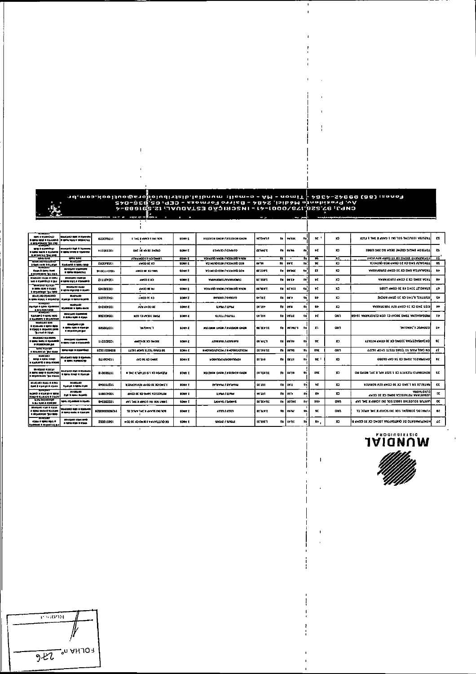- The Same Control of Library Control of Library Control of Changer Control of Changer Control of Changer Chan<br>Post State (2019-100 Septer Control of Library 1-842 (1919-045 Septer Changer Control Changer Changer Changer<br>C  $\mathcal{F}$ 

 $\mathbf i$ 

| ----<br><b>BUR DISTURNATIO</b><br>0 80 8 2 8 4 0 1 7 1 7 8 9 9 0 1                             | <b>DARATO DE PROVIN</b><br>a alian alian e quanto (a alian sed e aplicant) | 620099214         | 1 34 X 499 T (8) 326                   | SOMY 2         | MSTOROM CADIFY ASSOCIATION           | 95'ZH '01<br>л.       | <b>PS TOE</b>               | ÷.  | 95.          | ×          | KELL LIDKE K ANYO I DEL 105 THULOGOE VELSTALL          | г.               |
|------------------------------------------------------------------------------------------------|----------------------------------------------------------------------------|-------------------|----------------------------------------|----------------|--------------------------------------|-----------------------|-----------------------------|-----|--------------|------------|--------------------------------------------------------|------------------|
| gas à custous<br><b>I ESTAJ DACAL O KLISACI</b><br><b>B ROWER IN 1909</b>                      | محصولات فورن فتعرضهم<br><b>DERIVANY O TEAMS</b>                            | 911003001         | DOZ 31 10:30 J 10713                   | SOMY Z         | <b>CHAID / GRAID</b>                 | CS"MC"Z               | <b>SHIPS CA</b>             | 霜   | ĐZ.          | <b>x</b>   | LONIZON INCAC CKENE DERN BC 50C FIBRE                  | ZS.              |
| <b>LEAL GIRL</b>                                                                               | <b>STATISTICS</b>                                                          |                   | ATM (MCD CS XD DMOS)                   | sow z          | <b>ASIKING ANDE A ACIVILIA ANDER</b> | 11                    | $\bullet$                   | ÷.  | 96           | כור        | 1999 NAMAN 1999 CO 60 COMP REV ACHE                    | - 15             |
| <b>BOARD FRANCH</b><br><b>b Spoke and B Scottight</b>                                          | ಉ ಮತ್<br><b>ESIMEND &amp; SOLL BOD</b>                                     | 260011951         | 49000 02.83                            | SOUV 2         | ASI QUINDO O 39 A ASI TIQ O 38       | 09'91<br>R            | <b>DVT</b>                  | s.  | 95           | Ð          | TENSALIY SHO CK 20 COMP NED OUTDRAFT                   | $\bullet$        |
| ومعادلته ومقادمه<br><b>Basic B Limited Road</b><br><b>B SOURCERS TAX SER</b>                   | <b>BACKER EXISTS</b><br><b>B SPEA SUPPLIERS</b>                            | 9910211107001     | 49000 30 30 51 52                      | <b>BOATE</b>   | VOIDINDO GRU / VOIDIND DE L          | <b>DZ'ZO9'E</b><br>s. | 09'005                      | \$2 | zı           | Ð          | TADALATIA SNG CX 30 COMP EUROFARMA                     | $\bullet$        |
| BOARDING GUILL & RUPL<br>wa a eponbup e gu                                                     | <b>BOARDED ENTIRE</b><br>i tahu san si tusamb                              | 211102001         | 4900 230                               | <b>SOMY 2</b>  | WAN JOINTE/VWW.KOMB                  | <b>DZ'110'I</b>       | <b>THE DUTP</b>             | \$a | ÷Z.          | ×          | TADA 20MG CX 2 COHP EUROFAUL                           | $\bullet\bullet$ |
| www.net.alnut<br>a synu spr e must<br>8 90 Miles of the Real                                   | <b>MARTINEZ BALLA</b><br>, ,, ,, ,, ,, , , ,,,,                            | 100320103         | 1000 001                               | <b>SONY Z</b>  | וואנכיר לחומכיר וממגיר לחומכיר       | <b>STAR'10</b><br>Ħ   | <b>02'111</b>               | ÷.  | ٧Z           | 10         | <b>CONGLIT 30MG FR 30 COMP LISSS</b>                   | æ                |
| soutives singleno<br><b>. ISON ANALL &amp; Antioxade  </b>                                     | <b>BARKS</b><br><b>Name and in the extremely conserved</b>                 | 13122023          | UNDER KO                               | <b>BOATZ</b>   | EVIDED / EVIDED                      | ov'out                | <b>DE'P</b><br>su l         | ÷.  | ₩            | X3         | RIVOTRIL 0,5MG CX 30 COMP ROCHE                        | s.               |
| 30000000<br>калур в двог пример<br>e sojuezo nana                                              | <b>SOURCE</b><br><b>EXPIRED &amp; BOTH BACK</b>                            | <b>CICHOOL</b>    | A2M (IN OCT DE                         | SONY 2         | LLV3d / LLV3d                        | 00'09*<br>\$a         | 09.6                        | \$2 | 86           | XJ.        | ANUMEROUS DE COMP REV EUROPANA                         | m                |
| 20221023<br><b>EXHIBITS &amp; SERAI RICO</b><br><b>9 ELISOPI &amp; SOURCER</b>                 | <b>CONTROL ESTIMATE</b><br><b>B GOLL CAR &amp; CALL</b>                    | 906129001         | M3D TO AVOID DWSL                      | <b>SOUV Z</b>  | anan/anan                            | 09'299                | ta losaz                    | t.  | ĸ            | oxn        | MEGASALINA 75MG JUCAO CI GEN EUROFARMA 16456           | ь                |
| 10022-03-039<br>8 KSUA-05 9 KRS 800<br><b>U CALL &amp; SOANDOURRO</b><br>THE REAL PROPERTY AND | <b>RADIO CR</b><br>t anu an cypris<br><b>O MONACHINE DIA</b>               | 805001001         | <b>LANDARY</b>                         | <b>BORY E</b>  | 2310aCH DADE / 2510aCR DADE          | <b>MOVIE</b><br>ta.   | <b>BO'CAZ'L</b>             | ħ   | $\mathbf{z}$ | akn        | JINDHE'I JIMIJID                                       | $0+$             |
| <b>SOARING RX/8000</b><br>s contra destruir de la challen<br>0 100807-100 P.M                  | <b>ENGINO CURRENT</b><br>t anni cui a cuiann                               | <b>LLEDES CEL</b> | 4000 0000 000000                       | SONY Z         | ANGENA / ANGENY                      | <b>PERCE</b>          | alam                        | fa  | 9E           | Ð          | ATION CHOOR COMPOSITION COMPANYABLE                    | -95              |
| مزسره لنعبا<br>4 801100030 TEM 9144                                                            | izmu ozo s zamričuci                                                       | 1000100908        | LLCPT GOPS 31.531 FWLL DS              | SORY &         | <b>BHOSKSAFKG3M/BHOSHBAFFG3M</b>     | 00'01'02<br>s.        | 00'05                       | ね   | <b>OPE</b>   | CM         | AARDI ADVIS 3LIS31 SVALL DS SITIA TIVO NO              | æ                |
| <b>BOAR 2002</b><br>8200 è ERINI 03UD<br>a expertit a province                                 | (Cutatral) 820 0 1300au<br><b>BURNING CO</b>                               | <b>CLIDENCIL</b>  | 6YO 95 10 DMDZ                         | SONY Z         | ECUVIC THANKWORK                     | <b>TI'SOD</b>         | <b>THE ESTER</b>            | t.  | ا يو         | X.         | ON FAIN TOT SOME CLEAR DISCOTO                         | 38               |
| <b>BATHER THREE</b><br>a muni dob a sinavypnic<br>в возновлом "ры взирь                        | <b>BOARDED DOOR BARRON</b><br>t teriu Goup il Insurat                      | 010009411         | <b>N THE K WY 1919 1 YO MEASTER</b>    | EOW Z          | <b>SHONOK OADS / SHOWOR OADS</b>     | 09'255'05             | <b>PS'S'S</b><br>53.        | 12  | ORE          | X3         | HOACH ALL RESISTED IT STEL APL X 34X JPD NO NO         | st.              |
| BOARINGS GUILLE & BIRGU<br>pant is manage in stress                                            | <b>BOARDURD</b><br><b>Back of A GRAN CORP.</b>                             | 010002211         | <b>BINGS VOI 9100 DE X5 DRE.I</b>      | SORY L         | <b>BY BYIM / BY BYIM</b>             | <b>DE'ELI</b><br>'n   | DO'L                        | ŧ۵  | ĸ            | X3         | <b>NATIONAL SR I, SHOCKS 30 COMP ALS KENNING</b>       | EE.              |
| <b>STATISTICS</b><br>600023010300 1112<br>03up + 03ub/2d + 03u30                               | <b>BOARDOOR</b><br>010 S NEW 6.0000                                        | 110007001         | <b>EN CO DE 12 DHOS VOISSVLDE</b>      | <b>SCANY Z</b> | LLVAN / LLVAN                        | 11,511                | m<br><b>BO</b> <sup>2</sup> | \$1 | 89           | ×          | vwaviosna<br><b>CONSTANA POTASSICA SOMG CX 30 COMP</b> | æ                |
| First solvators<br><b>NEW GM &amp; CATABO</b>                                                  | <b>MPLI BOUNDING &amp; DOUND</b>                                           | 01002033          | <b>SYT THE X GIVEN ITLL TOS LIGGS</b>  | <b>SONN E</b>  | Licens / Licens                      | 00'009'94<br>t.       | 00'091                      | 44  | <b>DEP</b>   | ann        | FOR 2010 21W 100N 30T In 1CVER X 2NT 1VS               | œ                |
| فيتون فالون تطلبهمطل<br>a stali boow a studion<br><b>COLLECTION TO BOD</b>                     | <b>DMAXIED BAD &amp; EXAMPLE</b><br>i danisi dadiy di kumphi               | 9200900009211     | 13 013 01 12 12 000 5 (11 105          | SOMY 2         | ATTO ATTO                            | 379,072               | to lesse                    | 53  | 92           | <b>OND</b> | TE THE X GODS INT TOS THAING TO TANK YOU               | 82               |
| <b><i>STAR &amp; GRU DELL</i></b>                                                              | <b>PACKAT CALLER</b><br>8 1211 130 S 1344                                  | 200019091         | <b>NOO DE AQ DINSEI VINAVILLIAD 3Q</b> | SORY E         | SOLAR / SOLAR                        | <b>DETHET</b>         | <b>SHIPPE</b>               | 舞   | 83           | ю.         | MENIMENTARY LO DE GRELLWALDY TODAY CO. 30 COMB B       | u                |

## **WÄNDIVE**



**Leuthal**  $950$   $\mu$   $\sigma$